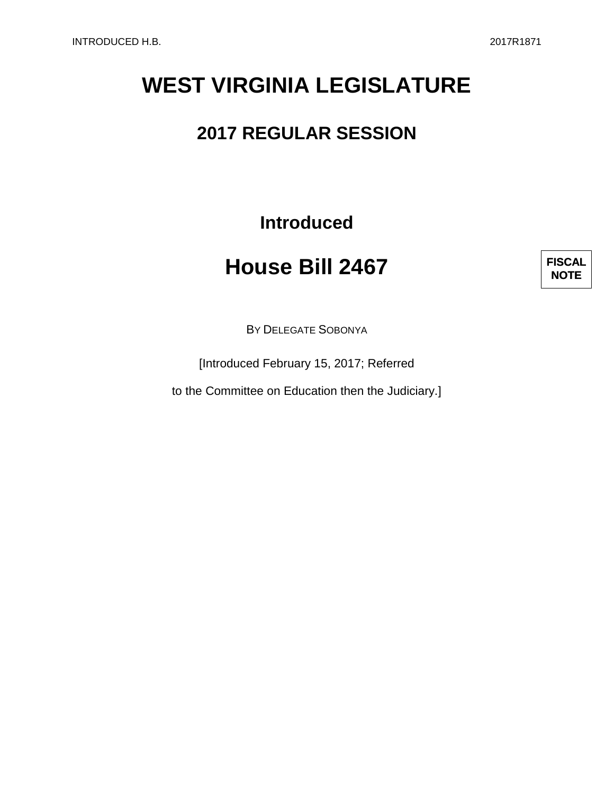# **WEST VIRGINIA LEGISLATURE**

### **2017 REGULAR SESSION**

**Introduced**

## **House Bill 2467**



BY DELEGATE SOBONYA

[Introduced February 15, 2017; Referred

to the Committee on Education then the Judiciary.]